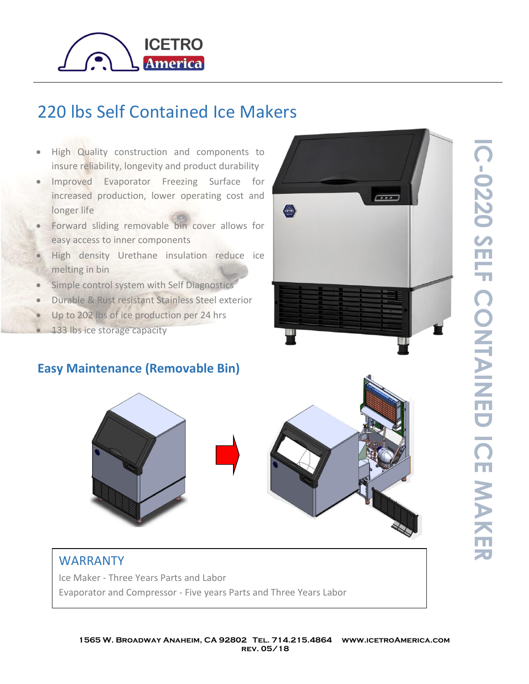

## 220 lbs Self Contained Ice Makers

- High Quality construction and components to insure reliability, longevity and product durability
- Improved Evaporator Freezing Surface for increased production, lower operating cost and longer life
- Forward sliding removable bin cover allows for easy access to inner components
- High density Urethane insulation reduce ice melting in bin
- Simple control system with Self Diagnostics
- Durable & Rust resistant Stainless Steel exterior
- Up to 202 lbs of ice production per 24 hrs
- 133 lbs ice storage capacity

## **Easy Maintenance (Removable Bin)**





## WARRANTY

Ice Maker - Three Years Parts and Labor Evaporator and Compressor - Five years Parts and Three Years Labor **IC -**